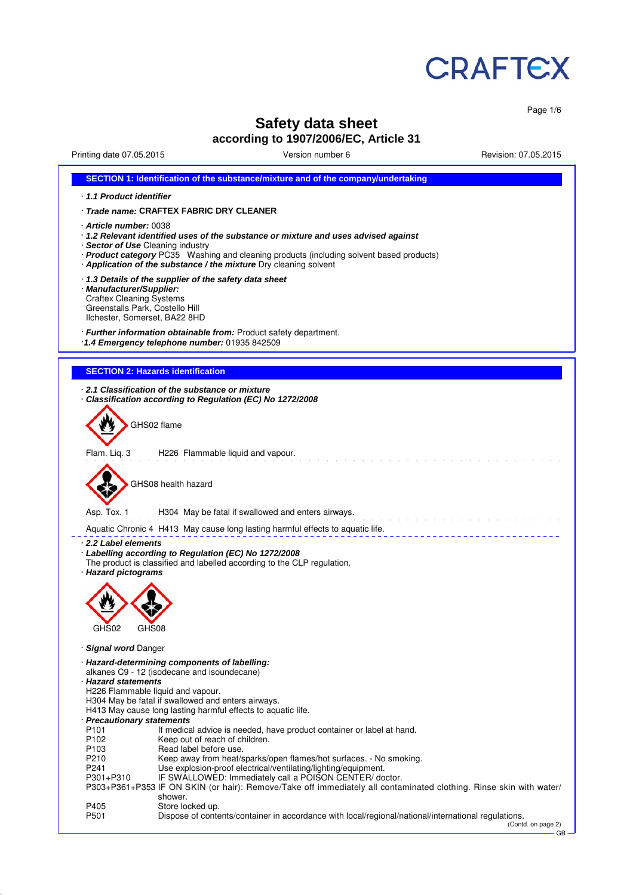

Page 1/6

GB

# **Safety data sheet according to 1907/2006/EC, Article 31**

Printing date 07.05.2015 Version number 6 Revision: 07.05.2015

| SECTION 1: Identification of the substance/mixture and of the company/undertaking                                                                                                                                                                                                                                 |  |  |  |  |
|-------------------------------------------------------------------------------------------------------------------------------------------------------------------------------------------------------------------------------------------------------------------------------------------------------------------|--|--|--|--|
| 1.1 Product identifier                                                                                                                                                                                                                                                                                            |  |  |  |  |
| · Trade name: CRAFTEX FABRIC DRY CLEANER                                                                                                                                                                                                                                                                          |  |  |  |  |
| · Article number: 0038<br>· 1.2 Relevant identified uses of the substance or mixture and uses advised against<br>· Sector of Use Cleaning industry<br>· Product category PC35 Washing and cleaning products (including solvent based products)<br>Application of the substance / the mixture Dry cleaning solvent |  |  |  |  |
| 1.3 Details of the supplier of the safety data sheet<br>· Manufacturer/Supplier:<br><b>Craftex Cleaning Systems</b><br>Greenstalls Park, Costello Hill<br>Ilchester, Somerset, BA22 8HD                                                                                                                           |  |  |  |  |
| · Further information obtainable from: Product safety department.<br>1.4 Emergency telephone number: 01935 842509                                                                                                                                                                                                 |  |  |  |  |
|                                                                                                                                                                                                                                                                                                                   |  |  |  |  |
| <b>SECTION 2: Hazards identification</b>                                                                                                                                                                                                                                                                          |  |  |  |  |
| $\cdot$ 2.1 Classification of the substance or mixture<br>Classification according to Regulation (EC) No 1272/2008                                                                                                                                                                                                |  |  |  |  |
| GHS02 flame                                                                                                                                                                                                                                                                                                       |  |  |  |  |
| Flam. Liq. 3<br>H226 Flammable liquid and vapour.                                                                                                                                                                                                                                                                 |  |  |  |  |
| GHS08 health hazard                                                                                                                                                                                                                                                                                               |  |  |  |  |
| Asp. Tox. 1<br>H304 May be fatal if swallowed and enters airways.                                                                                                                                                                                                                                                 |  |  |  |  |
| Aquatic Chronic 4 H413 May cause long lasting harmful effects to aquatic life.                                                                                                                                                                                                                                    |  |  |  |  |
| 2.2 Label elements<br>· Labelling according to Regulation (EC) No 1272/2008<br>The product is classified and labelled according to the CLP regulation.<br>· Hazard pictograms                                                                                                                                     |  |  |  |  |
|                                                                                                                                                                                                                                                                                                                   |  |  |  |  |
| GHS02<br>GHS08                                                                                                                                                                                                                                                                                                    |  |  |  |  |
| · Signal word Danger                                                                                                                                                                                                                                                                                              |  |  |  |  |
| · Hazard-determining components of labelling:<br>alkanes C9 - 12 (isodecane and isoundecane)<br>· Hazard statements<br>H226 Flammable liquid and vapour.<br>H304 May be fatal if swallowed and enters airways.<br>H413 May cause long lasting harmful effects to aquatic life.                                    |  |  |  |  |
| · Precautionary statements<br>P <sub>101</sub><br>If medical advice is needed, have product container or label at hand.                                                                                                                                                                                           |  |  |  |  |
| P102<br>Keep out of reach of children.                                                                                                                                                                                                                                                                            |  |  |  |  |
| Read label before use.<br>P <sub>103</sub><br>P210                                                                                                                                                                                                                                                                |  |  |  |  |
| Keep away from heat/sparks/open flames/hot surfaces. - No smoking.<br>P241<br>Use explosion-proof electrical/ventilating/lighting/equipment.                                                                                                                                                                      |  |  |  |  |
| IF SWALLOWED: Immediately call a POISON CENTER/ doctor.<br>P301+P310<br>P303+P361+P353 IF ON SKIN (or hair): Remove/Take off immediately all contaminated clothing. Rinse skin with water/<br>shower.                                                                                                             |  |  |  |  |
| P405<br>Store locked up.<br>P501<br>Dispose of contents/container in accordance with local/regional/national/international regulations.<br>(Contd. on page 2)                                                                                                                                                     |  |  |  |  |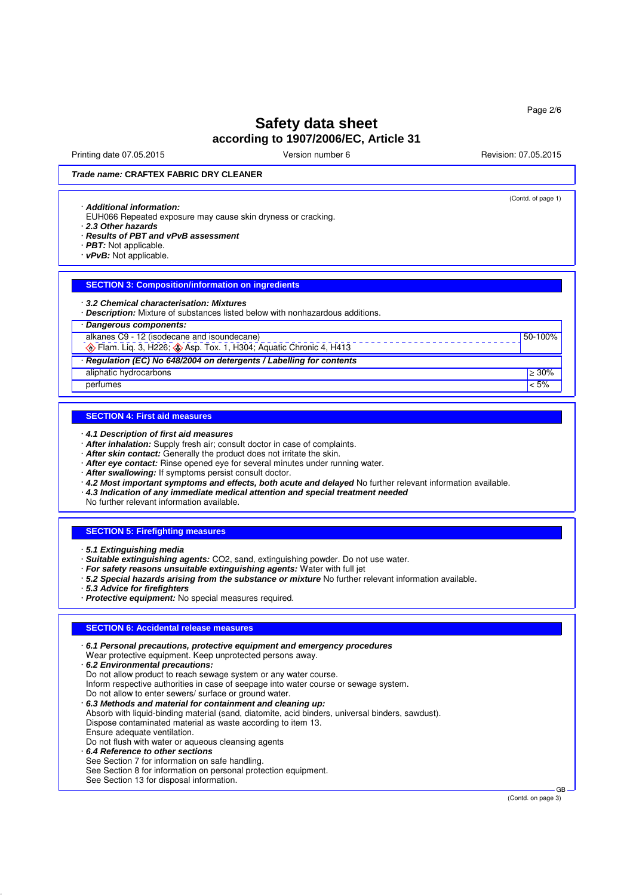Printing date 07.05.2015 **Principal and COVID-100** Version number 6 Revision: 07.05.2015

(Contd. of page 1)

50-100%

*Trade name:* **CRAFTEX FABRIC DRY CLEANER**

#### · *Additional information:*

- EUH066 Repeated exposure may cause skin dryness or cracking.
- · *2.3 Other hazards*
- · *Results of PBT and vPvB assessment*
- · *PBT:* Not applicable.
- · *vPvB:* Not applicable.

## **SECTION 3: Composition/information on ingredients**

### · *3.2 Chemical characterisation: Mixtures*

· *Description:* Mixture of substances listed below with nonhazardous additions.

### · *Dangerous components:*

alkanes C9 - 12 (isodecane and isoundecane)

 $\bigotimes$  Flam. Liq. 3, H226;  $\bigotimes$  Asp. Tox. 1, H304; Aquatic Chronic 4, H413 · *Regulation (EC) No 648/2004 on detergents / Labelling for contents*

aliphatic hydrocarbons  $\geq 30\%$ 

### perfumes  $|$  < 5%  $|$

### **SECTION 4: First aid measures**

· *4.1 Description of first aid measures*

- · *After inhalation:* Supply fresh air; consult doctor in case of complaints.
- · *After skin contact:* Generally the product does not irritate the skin.
- · *After eye contact:* Rinse opened eye for several minutes under running water.
- · *After swallowing:* If symptoms persist consult doctor.
- · *4.2 Most important symptoms and effects, both acute and delayed* No further relevant information available.
- · *4.3 Indication of any immediate medical attention and special treatment needed*

No further relevant information available.

### **SECTION 5: Firefighting measures**

· *5.1 Extinguishing media*

· *Suitable extinguishing agents:* CO2, sand, extinguishing powder. Do not use water.

- · *For safety reasons unsuitable extinguishing agents:* Water with full jet
- · *5.2 Special hazards arising from the substance or mixture* No further relevant information available.

· *5.3 Advice for firefighters*

· *Protective equipment:* No special measures required.

### **SECTION 6: Accidental release measures**

|  | $\cdot$ 6.1 Personal precautions, protective equipment and emergency procedures<br>Wear protective equipment. Keep unprotected persons away.<br>. 6.2 Environmental precautions:<br>Do not allow product to reach sewage system or any water course.<br>Inform respective authorities in case of seepage into water course or sewage system.<br>Do not allow to enter sewers/ surface or ground water.<br>. 6.3 Methods and material for containment and cleaning up:<br>Absorb with liquid-binding material (sand, diatomite, acid binders, universal binders, sawdust).<br>Dispose contaminated material as waste according to item 13.<br>Ensure adequate ventilation.<br>Do not flush with water or aqueous cleansing agents<br>6.4 Reference to other sections<br>See Section 7 for information on safe handling.<br>See Section 8 for information on personal protection equipment.<br>See Section 13 for disposal information. |
|--|---------------------------------------------------------------------------------------------------------------------------------------------------------------------------------------------------------------------------------------------------------------------------------------------------------------------------------------------------------------------------------------------------------------------------------------------------------------------------------------------------------------------------------------------------------------------------------------------------------------------------------------------------------------------------------------------------------------------------------------------------------------------------------------------------------------------------------------------------------------------------------------------------------------------------------------|
|--|---------------------------------------------------------------------------------------------------------------------------------------------------------------------------------------------------------------------------------------------------------------------------------------------------------------------------------------------------------------------------------------------------------------------------------------------------------------------------------------------------------------------------------------------------------------------------------------------------------------------------------------------------------------------------------------------------------------------------------------------------------------------------------------------------------------------------------------------------------------------------------------------------------------------------------------|

(Contd. on page 3)

GB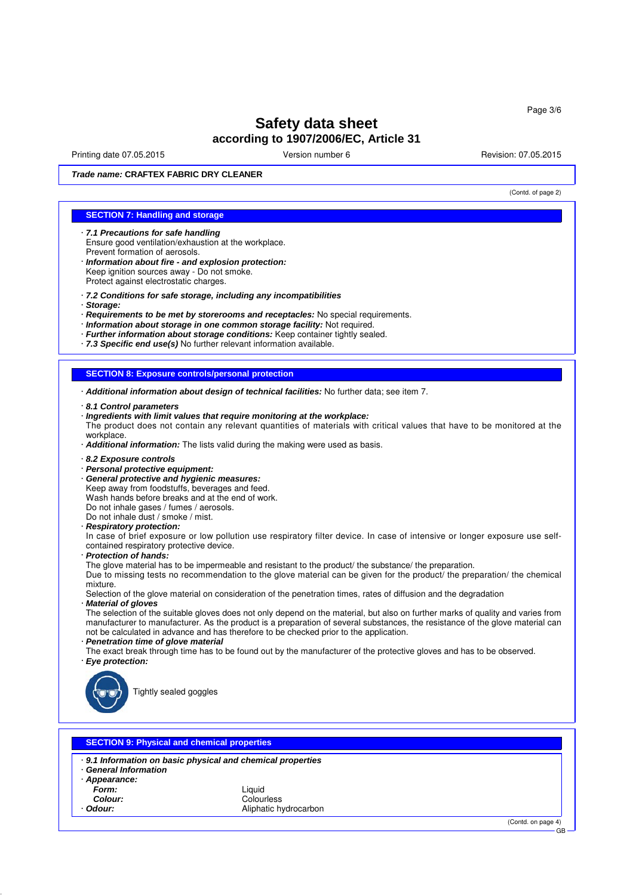Printing date 07.05.2015 **Principal and COVID-100** Version number 6 Revision: 07.05.2015

(Contd. of page 2)

*Trade name:* **CRAFTEX FABRIC DRY CLEANER**

## **SECTION 7: Handling and storage**

- · *7.1 Precautions for safe handling* Ensure good ventilation/exhaustion at the workplace. Prevent formation of aerosols.
- · *Information about fire and explosion protection:* Keep ignition sources away - Do not smoke. Protect against electrostatic charges.
- · *7.2 Conditions for safe storage, including any incompatibilities*
- · *Storage:*
- · *Requirements to be met by storerooms and receptacles:* No special requirements.
- · *Information about storage in one common storage facility:* Not required.
- · *Further information about storage conditions:* Keep container tightly sealed.
- · *7.3 Specific end use(s)* No further relevant information available.

### **SECTION 8: Exposure controls/personal protection**

- · *Additional information about design of technical facilities:* No further data; see item 7.
- · *8.1 Control parameters*
- · *Ingredients with limit values that require monitoring at the workplace:* The product does not contain any relevant quantities of materials with critical values that have to be monitored at the workplace.
- · *Additional information:* The lists valid during the making were used as basis.
- · *8.2 Exposure controls*
- · *Personal protective equipment:*
- · *General protective and hygienic measures:*
- Keep away from foodstuffs, beverages and feed.
- Wash hands before breaks and at the end of work.
- Do not inhale gases / fumes / aerosols.
- Do not inhale dust / smoke / mist.
- · *Respiratory protection:*
- In case of brief exposure or low pollution use respiratory filter device. In case of intensive or longer exposure use selfcontained respiratory protective device.
- · *Protection of hands:*

The glove material has to be impermeable and resistant to the product/ the substance/ the preparation.

Due to missing tests no recommendation to the glove material can be given for the product/ the preparation/ the chemical mixture.

Selection of the glove material on consideration of the penetration times, rates of diffusion and the degradation · *Material of gloves*

The selection of the suitable gloves does not only depend on the material, but also on further marks of quality and varies from manufacturer to manufacturer. As the product is a preparation of several substances, the resistance of the glove material can not be calculated in advance and has therefore to be checked prior to the application.

- · *Penetration time of glove material*
- The exact break through time has to be found out by the manufacturer of the protective gloves and has to be observed. · *Eye protection:*
- 



Tightly sealed goggles

| <b>General Information</b><br>Appearance: | 9.1 Information on basic physical and chemical properties |  |
|-------------------------------------------|-----------------------------------------------------------|--|
| Form:                                     | Liauid                                                    |  |
| Colour:                                   | Colourless                                                |  |
| Odour:                                    | Aliphatic hydrocarbon                                     |  |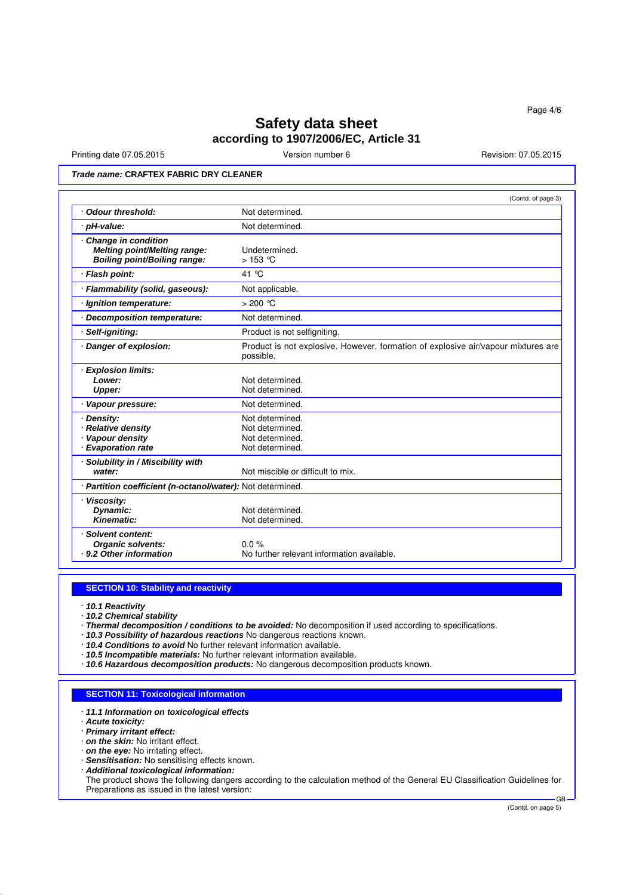Printing date 07.05.2015 **Version number 6** Newsley Revision: 07.05.2015

## *Trade name:* **CRAFTEX FABRIC DRY CLEANER**

|                                                                                            | (Contd. of page 3)                                                                             |
|--------------------------------------------------------------------------------------------|------------------------------------------------------------------------------------------------|
| <b>Odour threshold:</b>                                                                    | Not determined.                                                                                |
| · pH-value:                                                                                | Not determined.                                                                                |
| Change in condition<br><b>Melting point/Melting range:</b><br>Boiling point/Boiling range: | Undetermined.<br>$>153$ °C                                                                     |
| · Flash point:                                                                             | 41 °C                                                                                          |
| · Flammability (solid, gaseous):                                                           | Not applicable.                                                                                |
| Ignition temperature:                                                                      | $>200$ °C                                                                                      |
| <b>Decomposition temperature:</b>                                                          | Not determined.                                                                                |
| Self-igniting:                                                                             | Product is not selfigniting.                                                                   |
| · Danger of explosion:                                                                     | Product is not explosive. However, formation of explosive air/vapour mixtures are<br>possible. |
| <b>Explosion limits:</b><br>Lower:<br><b>Upper:</b>                                        | Not determined.<br>Not determined.                                                             |
| · Vapour pressure:                                                                         | Not determined.                                                                                |
| · Density:<br>· Relative density<br>· Vapour density<br>· Evaporation rate                 | Not determined.<br>Not determined.<br>Not determined.<br>Not determined.                       |
| · Solubility in / Miscibility with<br>water:                                               | Not miscible or difficult to mix.                                                              |
| · Partition coefficient (n-octanol/water): Not determined.                                 |                                                                                                |
| · Viscosity:<br>Dynamic:<br>Kinematic:                                                     | Not determined.<br>Not determined.                                                             |
| · Solvent content:<br><b>Organic solvents:</b><br>9.2 Other information                    | $0.0 \%$<br>No further relevant information available.                                         |

## **SECTION 10: Stability and reactivity**

- · *10.1 Reactivity*
- · *10.2 Chemical stability*
- · *Thermal decomposition / conditions to be avoided:* No decomposition if used according to specifications.
- · *10.3 Possibility of hazardous reactions* No dangerous reactions known.
- · *10.4 Conditions to avoid* No further relevant information available.
- · *10.5 Incompatible materials:* No further relevant information available.
- · *10.6 Hazardous decomposition products:* No dangerous decomposition products known.

### **SECTION 11: Toxicological information**

- · *11.1 Information on toxicological effects*
- · *Acute toxicity:*
- · *Primary irritant effect:*
- · *on the skin:* No irritant effect.
- · *on the eye:* No irritating effect.
- · *Sensitisation:* No sensitising effects known.
- · *Additional toxicological information:*

The product shows the following dangers according to the calculation method of the General EU Classification Guidelines for Preparations as issued in the latest version: GB

(Contd. on page 5)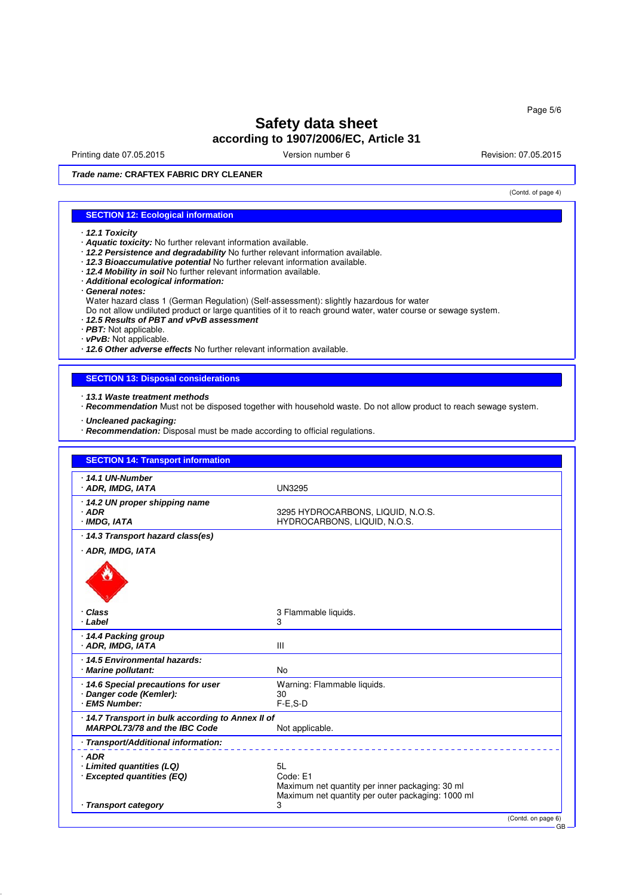Printing date 07.05.2015 **Version number 6** Newsley Revision: 07.05.2015

(Contd. of page 4)

GB

*Trade name:* **CRAFTEX FABRIC DRY CLEANER**

## **SECTION 12: Ecological information**

- · *12.1 Toxicity*
- · *Aquatic toxicity:* No further relevant information available.
- · *12.2 Persistence and degradability* No further relevant information available.
- · *12.3 Bioaccumulative potential* No further relevant information available.
- · *12.4 Mobility in soil* No further relevant information available.
- · *Additional ecological information:*
- · *General notes:*
- Water hazard class 1 (German Regulation) (Self-assessment): slightly hazardous for water

Do not allow undiluted product or large quantities of it to reach ground water, water course or sewage system.

- · *12.5 Results of PBT and vPvB assessment*
- · *PBT:* Not applicable.
- · *vPvB:* Not applicable.

· *12.6 Other adverse effects* No further relevant information available.

## **SECTION 13: Disposal considerations**

- · *13.1 Waste treatment methods*
- · *Recommendation* Must not be disposed together with household waste. Do not allow product to reach sewage system.
- · *Uncleaned packaging:*
- · *Recommendation:* Disposal must be made according to official regulations.

| <b>SECTION 14: Transport information</b>                |                                                                   |  |
|---------------------------------------------------------|-------------------------------------------------------------------|--|
| 14.1 UN-Number<br>· ADR, IMDG, IATA                     | <b>UN3295</b>                                                     |  |
| 14.2 UN proper shipping name<br>$·$ ADR<br>· IMDG, IATA | 3295 HYDROCARBONS, LIQUID, N.O.S.<br>HYDROCARBONS, LIQUID, N.O.S. |  |
| 14.3 Transport hazard class(es)                         |                                                                   |  |
| · ADR, IMDG, IATA                                       |                                                                   |  |
|                                                         |                                                                   |  |
| Class<br>· Label                                        | 3 Flammable liquids.<br>3                                         |  |
| ⋅ 14.4 Packing group                                    |                                                                   |  |
| · ADR, IMDG, IATA                                       | III                                                               |  |
| 14.5 Environmental hazards:<br>· Marine pollutant:      | <b>No</b>                                                         |  |
| 14.6 Special precautions for user                       | Warning: Flammable liquids.                                       |  |
| Danger code (Kemler):<br><b>EMS Number:</b>             | 30<br>$F-E.S-D$                                                   |  |
| 14.7 Transport in bulk according to Annex II of         |                                                                   |  |
| MARPOL73/78 and the IBC Code                            | Not applicable.                                                   |  |
| Transport/Additional information:                       |                                                                   |  |
| $·$ ADR                                                 |                                                                   |  |
| · Limited quantities (LQ)<br>· Excepted quantities (EQ) | 5L<br>Code: E1                                                    |  |
|                                                         | Maximum net quantity per inner packaging: 30 ml                   |  |
| · Transport category                                    | Maximum net quantity per outer packaging: 1000 ml<br>3            |  |
|                                                         | (Contd. on page 6)                                                |  |